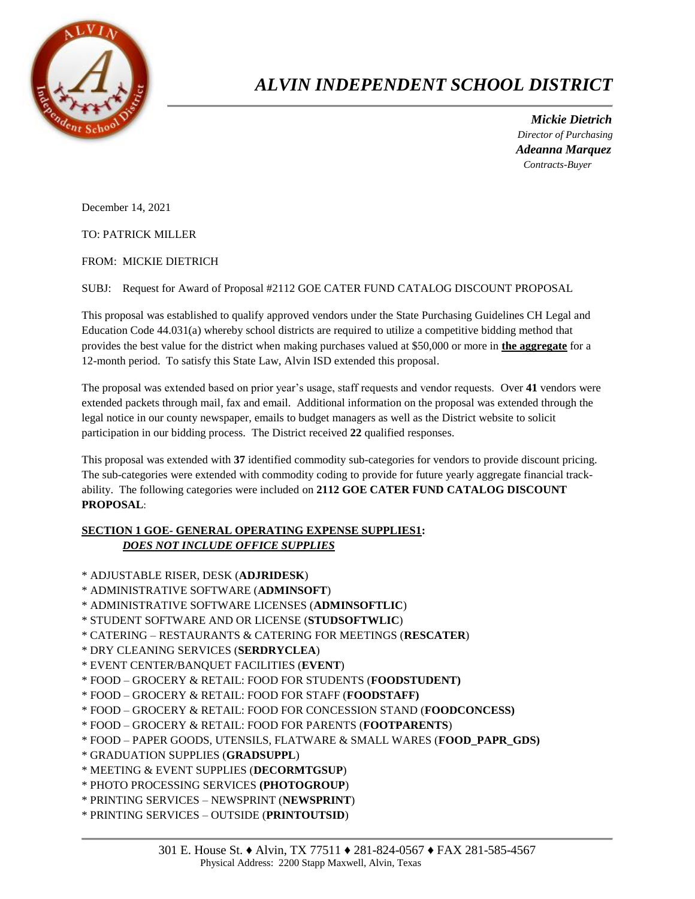

## *ALVIN INDEPENDENT SCHOOL DISTRICT*

 *Mickie Dietrich Director of Purchasing Adeanna Marquez Contracts-Buyer*

December 14, 2021

TO: PATRICK MILLER

FROM: MICKIE DIETRICH

SUBJ: Request for Award of Proposal #2112 GOE CATER FUND CATALOG DISCOUNT PROPOSAL

This proposal was established to qualify approved vendors under the State Purchasing Guidelines CH Legal and Education Code 44.031(a) whereby school districts are required to utilize a competitive bidding method that provides the best value for the district when making purchases valued at \$50,000 or more in **the aggregate** for a 12-month period. To satisfy this State Law, Alvin ISD extended this proposal.

The proposal was extended based on prior year's usage, staff requests and vendor requests. Over **41** vendors were extended packets through mail, fax and email. Additional information on the proposal was extended through the legal notice in our county newspaper, emails to budget managers as well as the District website to solicit participation in our bidding process. The District received **22** qualified responses.

This proposal was extended with **37** identified commodity sub-categories for vendors to provide discount pricing. The sub-categories were extended with commodity coding to provide for future yearly aggregate financial trackability. The following categories were included on **2112 GOE CATER FUND CATALOG DISCOUNT PROPOSAL**:

## **SECTION 1 GOE- GENERAL OPERATING EXPENSE SUPPLIES1:** *DOES NOT INCLUDE OFFICE SUPPLIES*

- \* ADJUSTABLE RISER, DESK (**ADJRIDESK**)
- \* ADMINISTRATIVE SOFTWARE (**ADMINSOFT**)
- \* ADMINISTRATIVE SOFTWARE LICENSES (**ADMINSOFTLIC**)
- \* STUDENT SOFTWARE AND OR LICENSE (**STUDSOFTWLIC**)
- \* CATERING RESTAURANTS & CATERING FOR MEETINGS (**RESCATER**)
- \* DRY CLEANING SERVICES (**SERDRYCLEA**)
- \* EVENT CENTER/BANQUET FACILITIES (**EVENT**)
- \* FOOD GROCERY & RETAIL: FOOD FOR STUDENTS (**FOODSTUDENT)**
- \* FOOD GROCERY & RETAIL: FOOD FOR STAFF (**FOODSTAFF)**
- \* FOOD GROCERY & RETAIL: FOOD FOR CONCESSION STAND (**FOODCONCESS)**
- \* FOOD GROCERY & RETAIL: FOOD FOR PARENTS (**FOOTPARENTS**)
- \* FOOD PAPER GOODS, UTENSILS, FLATWARE & SMALL WARES (**FOOD\_PAPR\_GDS)**
- \* GRADUATION SUPPLIES (**GRADSUPPL**)
- \* MEETING & EVENT SUPPLIES (**DECORMTGSUP**)
- \* PHOTO PROCESSING SERVICES **(PHOTOGROUP**)
- \* PRINTING SERVICES NEWSPRINT (**NEWSPRINT**)
- \* PRINTING SERVICES OUTSIDE (**PRINTOUTSID**)